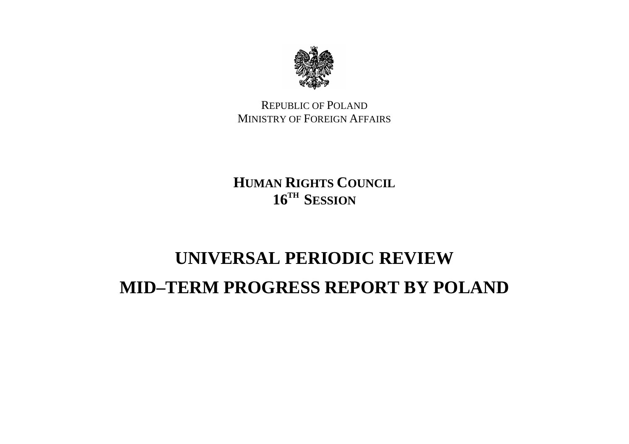

REPUBLIC OF POLANDMINISTRY OF FOREIGN AFFAIRS

**HUMAN RIGHTS COUNCIL16TH SESSION**

## **UNIVERSAL PERIODIC REVIEWMID–TERM PROGRESS REPORT BY POLAND**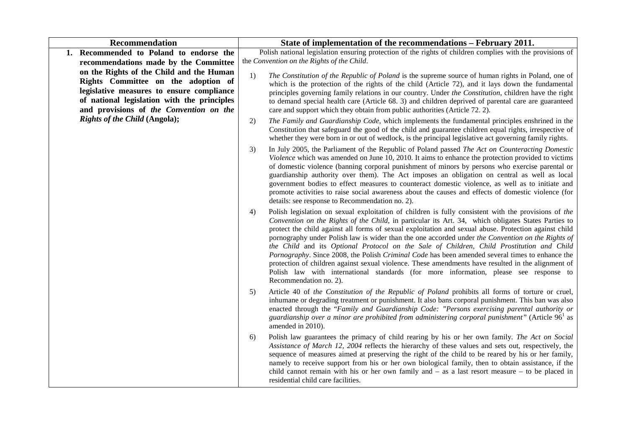| <b>Recommendation</b>                                                           | State of implementation of the recommendations – February 2011.                                                                                                                                                                                                                                                                                                                                                                                                                                                                                                                                                                                                                                                                                                                                                                                          |
|---------------------------------------------------------------------------------|----------------------------------------------------------------------------------------------------------------------------------------------------------------------------------------------------------------------------------------------------------------------------------------------------------------------------------------------------------------------------------------------------------------------------------------------------------------------------------------------------------------------------------------------------------------------------------------------------------------------------------------------------------------------------------------------------------------------------------------------------------------------------------------------------------------------------------------------------------|
| Recommended to Poland to endorse the<br>1.                                      | Polish national legislation ensuring protection of the rights of children complies with the provisions of                                                                                                                                                                                                                                                                                                                                                                                                                                                                                                                                                                                                                                                                                                                                                |
| recommendations made by the Committee                                           | the Convention on the Rights of the Child.                                                                                                                                                                                                                                                                                                                                                                                                                                                                                                                                                                                                                                                                                                                                                                                                               |
| on the Rights of the Child and the Human<br>Rights Committee on the adoption of | 1)<br>The Constitution of the Republic of Poland is the supreme source of human rights in Poland, one of                                                                                                                                                                                                                                                                                                                                                                                                                                                                                                                                                                                                                                                                                                                                                 |
| legislative measures to ensure compliance                                       | which is the protection of the rights of the child (Article 72), and it lays down the fundamental<br>principles governing family relations in our country. Under the Constitution, children have the right                                                                                                                                                                                                                                                                                                                                                                                                                                                                                                                                                                                                                                               |
| of national legislation with the principles                                     | to demand special health care (Article 68. 3) and children deprived of parental care are guaranteed                                                                                                                                                                                                                                                                                                                                                                                                                                                                                                                                                                                                                                                                                                                                                      |
| and provisions of the Convention on the                                         | care and support which they obtain from public authorities (Article 72. 2).                                                                                                                                                                                                                                                                                                                                                                                                                                                                                                                                                                                                                                                                                                                                                                              |
| Rights of the Child (Angola);                                                   | The Family and Guardianship Code, which implements the fundamental principles enshrined in the<br>2)<br>Constitution that safeguard the good of the child and guarantee children equal rights, irrespective of<br>whether they were born in or out of wedlock, is the principal legislative act governing family rights.                                                                                                                                                                                                                                                                                                                                                                                                                                                                                                                                 |
|                                                                                 | In July 2005, the Parliament of the Republic of Poland passed The Act on Counteracting Domestic<br>3)<br>Violence which was amended on June 10, 2010. It aims to enhance the protection provided to victims<br>of domestic violence (banning corporal punishment of minors by persons who exercise parental or<br>guardianship authority over them). The Act imposes an obligation on central as well as local<br>government bodies to effect measures to counteract domestic violence, as well as to initiate and<br>promote activities to raise social awareness about the causes and effects of domestic violence (for<br>details: see response to Recommendation no. 2).                                                                                                                                                                             |
|                                                                                 | Polish legislation on sexual exploitation of children is fully consistent with the provisions of the<br>4)<br>Convention on the Rights of the Child, in particular its Art. 34, which obligates States Parties to<br>protect the child against all forms of sexual exploitation and sexual abuse. Protection against child<br>pornography under Polish law is wider than the one accorded under the Convention on the Rights of<br>the Child and its Optional Protocol on the Sale of Children, Child Prostitution and Child<br>Pornography. Since 2008, the Polish Criminal Code has been amended several times to enhance the<br>protection of children against sexual violence. These amendments have resulted in the alignment of<br>Polish law with international standards (for more information, please see response to<br>Recommendation no. 2). |
|                                                                                 | Article 40 of the Constitution of the Republic of Poland prohibits all forms of torture or cruel,<br>5)<br>inhumane or degrading treatment or punishment. It also bans corporal punishment. This ban was also<br>enacted through the "Family and Guardianship Code: "Persons exercising parental authority or<br>guardianship over a minor are prohibited from administering corporal punishment" (Article $961$ as<br>amended in 2010).                                                                                                                                                                                                                                                                                                                                                                                                                 |
|                                                                                 | Polish law guarantees the primacy of child rearing by his or her own family. The Act on Social<br>6)<br>Assistance of March 12, 2004 reflects the hierarchy of these values and sets out, respectively, the<br>sequence of measures aimed at preserving the right of the child to be reared by his or her family,<br>namely to receive support from his or her own biological family, then to obtain assistance, if the<br>child cannot remain with his or her own family and $-$ as a last resort measure $-$ to be placed in<br>residential child care facilities.                                                                                                                                                                                                                                                                                     |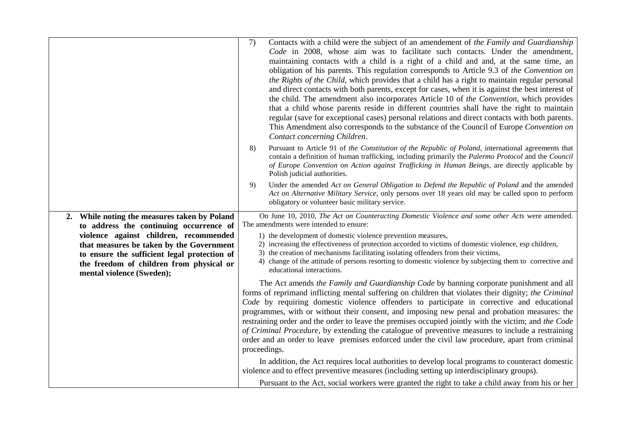|                                                                                                                                                                                                                                                                                                           | 7)<br>Contacts with a child were the subject of an amendement of the Family and Guardianship<br>Code in 2008, whose aim was to facilitate such contacts. Under the amendment,<br>maintaining contacts with a child is a right of a child and and, at the same time, an<br>obligation of his parents. This regulation corresponds to Article 9.3 of the Convention on<br>the Rights of the Child, which provides that a child has a right to maintain regular personal<br>and direct contacts with both parents, except for cases, when it is against the best interest of<br>the child. The amendment also incorporates Article 10 of the Convention, which provides<br>that a child whose parents reside in different countries shall have the right to maintain<br>regular (save for exceptional cases) personal relations and direct contacts with both parents.<br>This Amendment also corresponds to the substance of the Council of Europe Convention on<br>Contact concerning Children.<br>Pursuant to Article 91 of the Constitution of the Republic of Poland, international agreements that<br>8)<br>contain a definition of human trafficking, including primarily the Palermo Protocol and the Council<br>of Europe Convention on Action against Trafficking in Human Beings, are directly applicable by |
|-----------------------------------------------------------------------------------------------------------------------------------------------------------------------------------------------------------------------------------------------------------------------------------------------------------|----------------------------------------------------------------------------------------------------------------------------------------------------------------------------------------------------------------------------------------------------------------------------------------------------------------------------------------------------------------------------------------------------------------------------------------------------------------------------------------------------------------------------------------------------------------------------------------------------------------------------------------------------------------------------------------------------------------------------------------------------------------------------------------------------------------------------------------------------------------------------------------------------------------------------------------------------------------------------------------------------------------------------------------------------------------------------------------------------------------------------------------------------------------------------------------------------------------------------------------------------------------------------------------------------------------------|
|                                                                                                                                                                                                                                                                                                           | Polish judicial authorities.<br>Under the amended Act on General Obligation to Defend the Republic of Poland and the amended<br>9)<br>Act on Alternative Military Service, only persons over 18 years old may be called upon to perform<br>obligatory or volunteer basic military service.                                                                                                                                                                                                                                                                                                                                                                                                                                                                                                                                                                                                                                                                                                                                                                                                                                                                                                                                                                                                                           |
| While noting the measures taken by Poland<br>2.<br>to address the continuing occurrence of<br>violence against children, recommended<br>that measures be taken by the Government<br>to ensure the sufficient legal protection of<br>the freedom of children from physical or<br>mental violence (Sweden); | On June 10, 2010, The Act on Counteracting Domestic Violence and some other Acts were amended.<br>The amendments were intended to ensure:<br>1) the development of domestic violence prevention measures,<br>2) increasing the effectiveness of protection accorded to victims of domestic violence, esp children,<br>3) the creation of mechanisms facilitating isolating offenders from their victims,<br>4) change of the attitude of persons resorting to domestic violence by subjecting them to corrective and<br>educational interactions.<br>The Act amends the Family and Guardianship Code by banning corporate punishment and all<br>forms of reprimand inflicting mental suffering on children that violates their dignity; the Criminal<br>Code by requiring domestic violence offenders to participate in corrective and educational<br>programmes, with or without their consent, and imposing new penal and probation measures: the<br>restraining order and the order to leave the premises occupied jointly with the victim; and the Code                                                                                                                                                                                                                                                          |
|                                                                                                                                                                                                                                                                                                           | of Criminal Procedure, by extending the catalogue of preventive measures to include a restraining<br>order and an order to leave premises enforced under the civil law procedure, apart from criminal<br>proceedings.<br>In addition, the Act requires local authorities to develop local programs to counteract domestic<br>violence and to effect preventive measures (including setting up interdisciplinary groups).<br>Pursuant to the Act, social workers were granted the right to take a child away from his or her                                                                                                                                                                                                                                                                                                                                                                                                                                                                                                                                                                                                                                                                                                                                                                                          |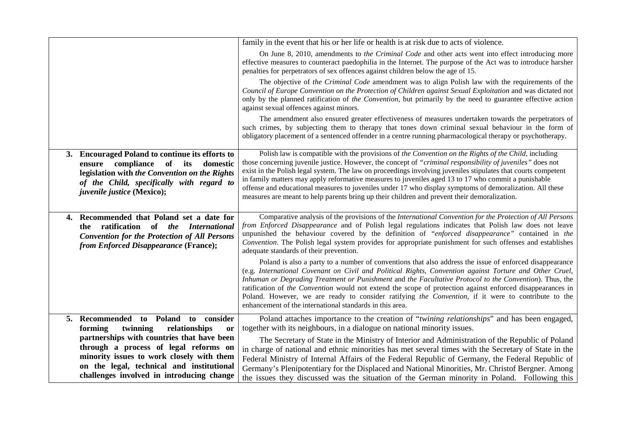|                                                                                                                                                                                                                            | family in the event that his or her life or health is at risk due to acts of violence.                                                                                                                                                                                                                                                                                                                                                                                                                                                                                                                                                                 |
|----------------------------------------------------------------------------------------------------------------------------------------------------------------------------------------------------------------------------|--------------------------------------------------------------------------------------------------------------------------------------------------------------------------------------------------------------------------------------------------------------------------------------------------------------------------------------------------------------------------------------------------------------------------------------------------------------------------------------------------------------------------------------------------------------------------------------------------------------------------------------------------------|
|                                                                                                                                                                                                                            | On June 8, 2010, amendments to the Criminal Code and other acts went into effect introducing more<br>effective measures to counteract paedophilia in the Internet. The purpose of the Act was to introduce harsher<br>penalties for perpetrators of sex offences against children below the age of 15.                                                                                                                                                                                                                                                                                                                                                 |
|                                                                                                                                                                                                                            | The objective of the Criminal Code amendment was to align Polish law with the requirements of the<br>Council of Europe Convention on the Protection of Children against Sexual Exploitation and was dictated not<br>only by the planned ratification of the Convention, but primarily by the need to guarantee effective action<br>against sexual offences against minors.                                                                                                                                                                                                                                                                             |
|                                                                                                                                                                                                                            | The amendment also ensured greater effectiveness of measures undertaken towards the perpetrators of<br>such crimes, by subjecting them to therapy that tones down criminal sexual behaviour in the form of<br>obligatory placement of a sentenced offender in a centre running pharmacological therapy or psychotherapy.                                                                                                                                                                                                                                                                                                                               |
| 3. Encouraged Poland to continue its efforts to<br>ensure compliance of its<br>domestic<br>legislation with the Convention on the Rights<br>of the Child, specifically with regard to<br><i>juvenile justice</i> (Mexico); | Polish law is compatible with the provisions of the Convention on the Rights of the Child, including<br>those concerning juvenile justice. However, the concept of "criminal responsibility of juveniles" does not<br>exist in the Polish legal system. The law on proceedings involving juveniles stipulates that courts competent<br>in family matters may apply reformative measures to juveniles aged 13 to 17 who commit a punishable<br>offense and educational measures to juveniles under 17 who display symptoms of demoralization. All these<br>measures are meant to help parents bring up their children and prevent their demoralization. |
| 4. Recommended that Poland set a date for<br>the ratification of the International<br><b>Convention for the Protection of All Persons</b><br>from Enforced Disappearance (France);                                         | Comparative analysis of the provisions of the International Convention for the Protection of All Persons<br>from Enforced Disappearance and of Polish legal regulations indicates that Polish law does not leave<br>unpunished the behaviour covered by the definition of "enforced disappearance" contained in the<br>Convention. The Polish legal system provides for appropriate punishment for such offenses and establishes<br>adequate standards of their prevention.                                                                                                                                                                            |
|                                                                                                                                                                                                                            | Poland is also a party to a number of conventions that also address the issue of enforced disappearance<br>(e.g. International Covenant on Civil and Political Rights, Convention against Torture and Other Cruel,<br>Inhuman or Degrading Treatment or Punishment and the Facultative Protocol to the Convention). Thus, the<br>ratification of the Convention would not extend the scope of protection against enforced disappearances in<br>Poland. However, we are ready to consider ratifying the Convention, if it were to contribute to the<br>enhancement of the international standards in this area.                                         |
| 5. Recommended to Poland to consider                                                                                                                                                                                       | Poland attaches importance to the creation of "twining relationships" and has been engaged,                                                                                                                                                                                                                                                                                                                                                                                                                                                                                                                                                            |
| forming<br>twinning<br>relationships<br>or<br>partnerships with countries that have been                                                                                                                                   | together with its neighbours, in a dialogue on national minority issues.                                                                                                                                                                                                                                                                                                                                                                                                                                                                                                                                                                               |
| through a process of legal reforms on                                                                                                                                                                                      | The Secretary of State in the Ministry of Interior and Administration of the Republic of Poland<br>in charge of national and ethnic minorities has met several times with the Secretary of State in the                                                                                                                                                                                                                                                                                                                                                                                                                                                |
| minority issues to work closely with them                                                                                                                                                                                  | Federal Ministry of Internal Affairs of the Federal Republic of Germany, the Federal Republic of                                                                                                                                                                                                                                                                                                                                                                                                                                                                                                                                                       |
| on the legal, technical and institutional                                                                                                                                                                                  | Germany's Plenipotentiary for the Displaced and National Minorities, Mr. Christof Bergner. Among                                                                                                                                                                                                                                                                                                                                                                                                                                                                                                                                                       |
| challenges involved in introducing change                                                                                                                                                                                  | the issues they discussed was the situation of the German minority in Poland. Following this                                                                                                                                                                                                                                                                                                                                                                                                                                                                                                                                                           |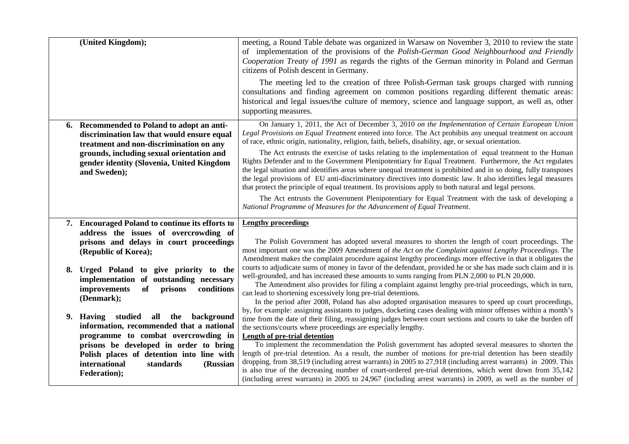|    | (United Kingdom);                                                                                                                                                                                                                             | meeting, a Round Table debate was organized in Warsaw on November 3, 2010 to review the state<br>of implementation of the provisions of the Polish-German Good Neighbourhood and Friendly<br>Cooperation Treaty of 1991 as regards the rights of the German minority in Poland and German<br>citizens of Polish descent in Germany.                                                                                                                                                                                                                                                                                                                                                                                                                                                                                                                                                                                                                                                                                                                                          |
|----|-----------------------------------------------------------------------------------------------------------------------------------------------------------------------------------------------------------------------------------------------|------------------------------------------------------------------------------------------------------------------------------------------------------------------------------------------------------------------------------------------------------------------------------------------------------------------------------------------------------------------------------------------------------------------------------------------------------------------------------------------------------------------------------------------------------------------------------------------------------------------------------------------------------------------------------------------------------------------------------------------------------------------------------------------------------------------------------------------------------------------------------------------------------------------------------------------------------------------------------------------------------------------------------------------------------------------------------|
|    |                                                                                                                                                                                                                                               | The meeting led to the creation of three Polish-German task groups charged with running<br>consultations and finding agreement on common positions regarding different thematic areas:<br>historical and legal issues/the culture of memory, science and language support, as well as, other<br>supporting measures.                                                                                                                                                                                                                                                                                                                                                                                                                                                                                                                                                                                                                                                                                                                                                         |
|    | 6. Recommended to Poland to adopt an anti-<br>discrimination law that would ensure equal<br>treatment and non-discrimination on any<br>grounds, including sexual orientation and<br>gender identity (Slovenia, United Kingdom<br>and Sweden); | On January 1, 2011, the Act of December 3, 2010 on the Implementation of Certain European Union<br>Legal Provisions on Equal Treatment entered into force. The Act prohibits any unequal treatment on account<br>of race, ethnic origin, nationality, religion, faith, beliefs, disability, age, or sexual orientation.<br>The Act entrusts the exercise of tasks relating to the implementation of equal treatment to the Human<br>Rights Defender and to the Government Plenipotentiary for Equal Treatment. Furthermore, the Act regulates<br>the legal situation and identifies areas where unequal treatment is prohibited and in so doing, fully transposes<br>the legal provisions of EU anti-discriminatory directives into domestic law. It also identifies legal measures<br>that protect the principle of equal treatment. Its provisions apply to both natural and legal persons.<br>The Act entrusts the Government Plenipotentiary for Equal Treatment with the task of developing a<br>National Programme of Measures for the Advancement of Equal Treatment. |
|    | 7. Encouraged Poland to continue its efforts to<br>address the issues of overcrowding of                                                                                                                                                      | <b>Lengthy proceedings</b>                                                                                                                                                                                                                                                                                                                                                                                                                                                                                                                                                                                                                                                                                                                                                                                                                                                                                                                                                                                                                                                   |
|    | prisons and delays in court proceedings<br>(Republic of Korea);                                                                                                                                                                               | The Polish Government has adopted several measures to shorten the length of court proceedings. The<br>most important one was the 2009 Amendment of the Act on the Complaint against Lengthy Proceedings. The<br>Amendment makes the complaint procedure against lengthy proceedings more effective in that it obligates the                                                                                                                                                                                                                                                                                                                                                                                                                                                                                                                                                                                                                                                                                                                                                  |
| 8. | Urged Poland to give priority to the<br>implementation of outstanding necessary<br>improvements<br>of<br>conditions<br>prisons<br>(Denmark);                                                                                                  | courts to adjudicate sums of money in favor of the defendant, provided he or she has made such claim and it is<br>well-grounded, and has increased these amounts to sums ranging from PLN 2,000 to PLN 20,000.<br>The Amendment also provides for filing a complaint against lengthy pre-trial proceedings, which in turn,<br>can lead to shortening excessively long pre-trial detentions.<br>In the period after 2008, Poland has also adopted organisation measures to speed up court proceedings,                                                                                                                                                                                                                                                                                                                                                                                                                                                                                                                                                                        |
|    | 9. Having studied all the background<br>information, recommended that a national<br>programme to combat overcrowding in                                                                                                                       | by, for example: assigning assistants to judges, docketing cases dealing with minor offenses within a month's<br>time from the date of their filing, reassigning judges between court sections and courts to take the burden off<br>the sections/courts where proceedings are especially lengthy.<br>Length of pre-trial detention                                                                                                                                                                                                                                                                                                                                                                                                                                                                                                                                                                                                                                                                                                                                           |
|    | prisons be developed in order to bring<br>Polish places of detention into line with<br>international<br>standards<br>(Russian<br>Federation);                                                                                                 | To implement the recommendation the Polish government has adopted several measures to shorten the<br>length of pre-trial detention. As a result, the number of motions for pre-trial detention has been steadily<br>dropping, from 38,519 (including arrest warrants) in 2005 to 27,918 (including arrest warrants) in 2009. This<br>is also true of the decreasing number of court-ordered pre-trial detentions, which went down from 35,142<br>(including arrest warrants) in 2005 to 24,967 (including arrest warrants) in 2009, as well as the number of                                                                                                                                                                                                                                                                                                                                                                                                                                                                                                                 |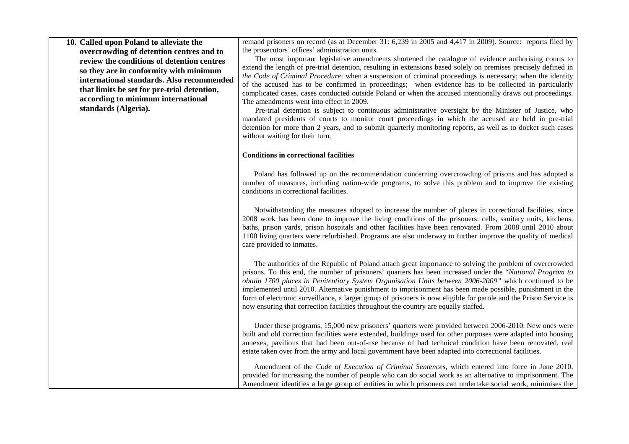**10. Called upon Poland to alleviate the overcrowding of detention centres and to review the conditions of detention centres so they are in conformity with minimum international standards. Also recommended that limits be set for pre-trial detention, according to minimum international standards (Algeria).**

remand prisoners on record (as at December 31: 6,239 in 2005 and 4,417 in 2009). Source: reports filed by the prosecutors' offices' administration units.

 The most important legislative amendments shortened the catalogue of evidence authorising courts to extend the length of pre-trial detention, resulting in extensions based solely on premises precisely defined in *the Code of Criminal Procedure*: when a suspension of criminal proceedings is necessary; when the identity of the accused has to be confirmed in proceedings; when evidence has to be collected in particularly complicated cases, cases conducted outside Poland or when the accused intentionally draws out proceedings. The amendments went into effect in 2009.

 Pre-trial detention is subject to continuous administrative oversight by the Minister of Justice, who mandated presidents of courts to monitor court proceedings in which the accused are held in pre-trial detention for more than 2 years, and to submit quarterly monitoring reports, as well as to docket such cases without waiting for their turn.

## **Conditions in correctional facilities**

Poland has followed up on the recommendation concerning overcrowding of prisons and has adopted a number of measures, including nation-wide programs, to solve this problem and to improve the existing conditions in correctional facilities.

Notwithstanding the measures adopted to increase the number of places in correctional facilities, since 2008 work has been done to improve the living conditions of the prisoners: cells, sanitary units, kitchens, baths, prison yards, prison hospitals and other facilities have been renovated. From 2008 until 2010 about 1100 living quarters were refurbished. Programs are also underway to further improve the quality of medical care provided to inmates.

The authorities of the Republic of Poland attach great importance to solving the problem of overcrowded prisons. To this end, the number of prisoners' quarters has been increased under the "*National Program to obtain 1700 places in Penitentiary System Organisation Units between 2006-2009"* which continued to be implemented until 2010. Alternative punishment to imprisonment has been made possible, punishment in the form of electronic surveillance, a larger group of prisoners is now eligible for parole and the Prison Service is now ensuring that correction facilities throughout the country are equally staffed.

Under these programs, 15,000 new prisoners' quarters were provided between 2006-2010. New ones were built and old correction facilities were extended, buildings used for other purposes were adapted into housing annexes, pavilions that had been out-of-use because of bad technical condition have been renovated, real estate taken over from the army and local government have been adapted into correctional facilities.

Amendment of the *Code of Execution of Criminal Sentences*, which entered into force in June 2010, provided for increasing the number of people who can do social work as an alternative to imprisonment. The Amendment identifies a large group of entities in which prisoners can undertake social work, minimises the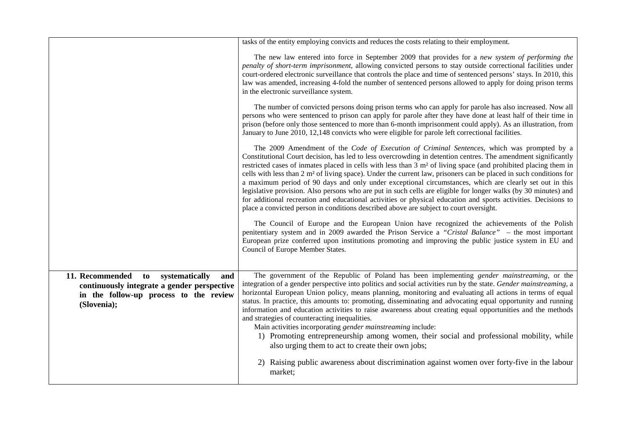|                                                                                                                                                     | tasks of the entity employing convicts and reduces the costs relating to their employment.                                                                                                                                                                                                                                                                                                                                                                                                                                                                                                                                                                                                                                                                                                                                                                                                                                                                                                                          |
|-----------------------------------------------------------------------------------------------------------------------------------------------------|---------------------------------------------------------------------------------------------------------------------------------------------------------------------------------------------------------------------------------------------------------------------------------------------------------------------------------------------------------------------------------------------------------------------------------------------------------------------------------------------------------------------------------------------------------------------------------------------------------------------------------------------------------------------------------------------------------------------------------------------------------------------------------------------------------------------------------------------------------------------------------------------------------------------------------------------------------------------------------------------------------------------|
|                                                                                                                                                     | The new law entered into force in September 2009 that provides for a new system of performing the<br>penalty of short-term imprisonment, allowing convicted persons to stay outside correctional facilities under<br>court-ordered electronic surveillance that controls the place and time of sentenced persons' stays. In 2010, this<br>law was amended, increasing 4-fold the number of sentenced persons allowed to apply for doing prison terms<br>in the electronic surveillance system.                                                                                                                                                                                                                                                                                                                                                                                                                                                                                                                      |
|                                                                                                                                                     | The number of convicted persons doing prison terms who can apply for parole has also increased. Now all<br>persons who were sentenced to prison can apply for parole after they have done at least half of their time in<br>prison (before only those sentenced to more than 6-month imprisonment could apply). As an illustration, from<br>January to June 2010, 12,148 convicts who were eligible for parole left correctional facilities.                                                                                                                                                                                                                                                                                                                                                                                                                                                                                                                                                                        |
|                                                                                                                                                     | The 2009 Amendment of the Code of Execution of Criminal Sentences, which was prompted by a<br>Constitutional Court decision, has led to less overcrowding in detention centres. The amendment significantly<br>restricted cases of inmates placed in cells with less than 3 m <sup>2</sup> of living space (and prohibited placing them in<br>cells with less than $2 \text{ m}^2$ of living space). Under the current law, prisoners can be placed in such conditions for<br>a maximum period of 90 days and only under exceptional circumstances, which are clearly set out in this<br>legislative provision. Also persons who are put in such cells are eligible for longer walks (by 30 minutes) and<br>for additional recreation and educational activities or physical education and sports activities. Decisions to<br>place a convicted person in conditions described above are subject to court oversight.<br>The Council of Europe and the European Union have recognized the achievements of the Polish |
|                                                                                                                                                     | penitentiary system and in 2009 awarded the Prison Service a "Cristal Balance" - the most important<br>European prize conferred upon institutions promoting and improving the public justice system in EU and<br>Council of Europe Member States.                                                                                                                                                                                                                                                                                                                                                                                                                                                                                                                                                                                                                                                                                                                                                                   |
| 11. Recommended<br>to systematically<br>and<br>continuously integrate a gender perspective<br>in the follow-up process to the review<br>(Slovenia); | The government of the Republic of Poland has been implementing <i>gender mainstreaming</i> , or the<br>integration of a gender perspective into politics and social activities run by the state. Gender mainstreaming, a<br>horizontal European Union policy, means planning, monitoring and evaluating all actions in terms of equal<br>status. In practice, this amounts to: promoting, disseminating and advocating equal opportunity and running<br>information and education activities to raise awareness about creating equal opportunities and the methods<br>and strategies of counteracting inequalities.<br>Main activities incorporating gender mainstreaming include:<br>1) Promoting entrepreneurship among women, their social and professional mobility, while                                                                                                                                                                                                                                      |
|                                                                                                                                                     | also urging them to act to create their own jobs;<br>2) Raising public awareness about discrimination against women over forty-five in the labour<br>market;                                                                                                                                                                                                                                                                                                                                                                                                                                                                                                                                                                                                                                                                                                                                                                                                                                                        |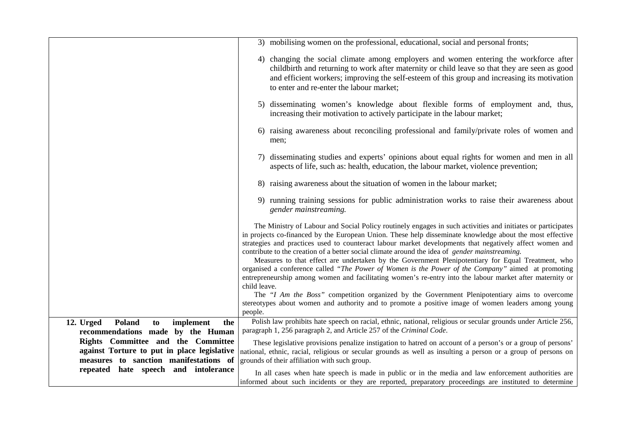|                                                                         | 3) mobilising women on the professional, educational, social and personal fronts;                                                                                                                                                                                                                                                                                                                                                                                                                                                                                                                                                              |
|-------------------------------------------------------------------------|------------------------------------------------------------------------------------------------------------------------------------------------------------------------------------------------------------------------------------------------------------------------------------------------------------------------------------------------------------------------------------------------------------------------------------------------------------------------------------------------------------------------------------------------------------------------------------------------------------------------------------------------|
|                                                                         | 4) changing the social climate among employers and women entering the workforce after<br>childbirth and returning to work after maternity or child leave so that they are seen as good<br>and efficient workers; improving the self-esteem of this group and increasing its motivation<br>to enter and re-enter the labour market;                                                                                                                                                                                                                                                                                                             |
|                                                                         | 5) disseminating women's knowledge about flexible forms of employment and, thus,<br>increasing their motivation to actively participate in the labour market;                                                                                                                                                                                                                                                                                                                                                                                                                                                                                  |
|                                                                         | 6) raising awareness about reconciling professional and family/private roles of women and<br>men;                                                                                                                                                                                                                                                                                                                                                                                                                                                                                                                                              |
|                                                                         | 7) disseminating studies and experts' opinions about equal rights for women and men in all<br>aspects of life, such as: health, education, the labour market, violence prevention;                                                                                                                                                                                                                                                                                                                                                                                                                                                             |
|                                                                         | 8) raising awareness about the situation of women in the labour market;                                                                                                                                                                                                                                                                                                                                                                                                                                                                                                                                                                        |
|                                                                         | 9) running training sessions for public administration works to raise their awareness about<br>gender mainstreaming.                                                                                                                                                                                                                                                                                                                                                                                                                                                                                                                           |
|                                                                         | The Ministry of Labour and Social Policy routinely engages in such activities and initiates or participates<br>in projects co-financed by the European Union. These help disseminate knowledge about the most effective<br>strategies and practices used to counteract labour market developments that negatively affect women and<br>contribute to the creation of a better social climate around the idea of gender mainstreaming.<br>Measures to that effect are undertaken by the Government Plenipotentiary for Equal Treatment, who<br>organised a conference called "The Power of Women is the Power of the Company" aimed at promoting |
|                                                                         | entrepreneurship among women and facilitating women's re-entry into the labour market after maternity or<br>child leave.<br>The "I Am the Boss" competition organized by the Government Plenipotentiary aims to overcome<br>stereotypes about women and authority and to promote a positive image of women leaders among young                                                                                                                                                                                                                                                                                                                 |
|                                                                         | people.                                                                                                                                                                                                                                                                                                                                                                                                                                                                                                                                                                                                                                        |
| Poland<br>12. Urged<br>implement<br>to<br>the                           | Polish law prohibits hate speech on racial, ethnic, national, religious or secular grounds under Article 256,<br>paragraph 1, 256 paragraph 2, and Article 257 of the Criminal Code.                                                                                                                                                                                                                                                                                                                                                                                                                                                           |
| recommendations made by the Human<br>Rights Committee and the Committee |                                                                                                                                                                                                                                                                                                                                                                                                                                                                                                                                                                                                                                                |
| against Torture to put in place legislative                             | These legislative provisions penalize instigation to hatred on account of a person's or a group of persons'<br>national, ethnic, racial, religious or secular grounds as well as insulting a person or a group of persons on                                                                                                                                                                                                                                                                                                                                                                                                                   |
| measures to sanction manifestations of                                  | grounds of their affiliation with such group.                                                                                                                                                                                                                                                                                                                                                                                                                                                                                                                                                                                                  |
| repeated hate speech and intolerance                                    | In all cases when hate speech is made in public or in the media and law enforcement authorities are                                                                                                                                                                                                                                                                                                                                                                                                                                                                                                                                            |
|                                                                         | informed about such incidents or they are reported, preparatory proceedings are instituted to determine                                                                                                                                                                                                                                                                                                                                                                                                                                                                                                                                        |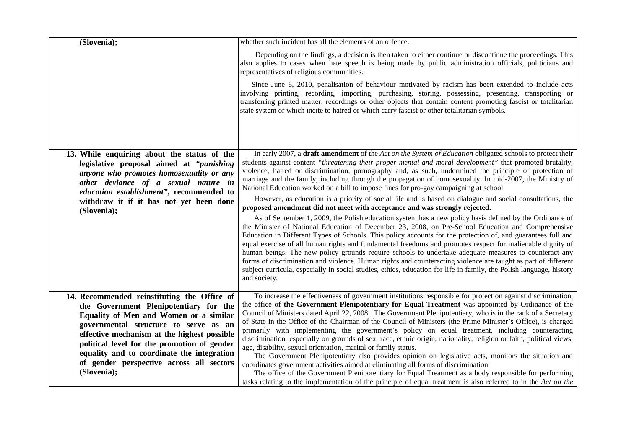| (Slovenia);                                                                                                                                                                                                                     | whether such incident has all the elements of an offence.                                                                                                                                                                                                                                                                                                                                                                                                                                                                                                                                                                                                                                                                                                                                                     |
|---------------------------------------------------------------------------------------------------------------------------------------------------------------------------------------------------------------------------------|---------------------------------------------------------------------------------------------------------------------------------------------------------------------------------------------------------------------------------------------------------------------------------------------------------------------------------------------------------------------------------------------------------------------------------------------------------------------------------------------------------------------------------------------------------------------------------------------------------------------------------------------------------------------------------------------------------------------------------------------------------------------------------------------------------------|
|                                                                                                                                                                                                                                 | Depending on the findings, a decision is then taken to either continue or discontinue the proceedings. This<br>also applies to cases when hate speech is being made by public administration officials, politicians and<br>representatives of religious communities.                                                                                                                                                                                                                                                                                                                                                                                                                                                                                                                                          |
|                                                                                                                                                                                                                                 | Since June 8, 2010, penalisation of behaviour motivated by racism has been extended to include acts<br>involving printing, recording, importing, purchasing, storing, possessing, presenting, transporting or<br>transferring printed matter, recordings or other objects that contain content promoting fascist or totalitarian<br>state system or which incite to hatred or which carry fascist or other totalitarian symbols.                                                                                                                                                                                                                                                                                                                                                                              |
| 13. While enquiring about the status of the<br>legislative proposal aimed at " <i>punishing</i><br>anyone who promotes homosexuality or any<br>other deviance of a sexual nature in<br>education establishment", recommended to | In early 2007, a draft amendment of the Act on the System of Education obligated schools to protect their<br>students against content "threatening their proper mental and moral development" that promoted brutality,<br>violence, hatred or discrimination, pornography and, as such, undermined the principle of protection of<br>marriage and the family, including through the propagation of homosexuality. In mid-2007, the Ministry of<br>National Education worked on a bill to impose fines for pro-gay campaigning at school.                                                                                                                                                                                                                                                                      |
| withdraw it if it has not yet been done                                                                                                                                                                                         | However, as education is a priority of social life and is based on dialogue and social consultations, the<br>proposed amendment did not meet with acceptance and was strongly rejected.                                                                                                                                                                                                                                                                                                                                                                                                                                                                                                                                                                                                                       |
| (Slovenia);                                                                                                                                                                                                                     | As of September 1, 2009, the Polish education system has a new policy basis defined by the Ordinance of<br>the Minister of National Education of December 23, 2008, on Pre-School Education and Comprehensive<br>Education in Different Types of Schools. This policy accounts for the protection of, and guarantees full and<br>equal exercise of all human rights and fundamental freedoms and promotes respect for inalienable dignity of<br>human beings. The new policy grounds require schools to undertake adequate measures to counteract any<br>forms of discrimination and violence. Human rights and counteracting violence are taught as part of different<br>subject curricula, especially in social studies, ethics, education for life in family, the Polish language, history<br>and society. |
| 14. Recommended reinstituting the Office of                                                                                                                                                                                     | To increase the effectiveness of government institutions responsible for protection against discrimination,<br>the office of the Government Plenipotentiary for Equal Treatment was appointed by Ordinance of the                                                                                                                                                                                                                                                                                                                                                                                                                                                                                                                                                                                             |
| the Government Plenipotentiary for the<br>Equality of Men and Women or a similar                                                                                                                                                | Council of Ministers dated April 22, 2008. The Government Plenipotentiary, who is in the rank of a Secretary                                                                                                                                                                                                                                                                                                                                                                                                                                                                                                                                                                                                                                                                                                  |
| governmental structure to serve as an                                                                                                                                                                                           | of State in the Office of the Chairman of the Council of Ministers (the Prime Minister's Office), is charged<br>primarily with implementing the government's policy on equal treatment, including counteracting                                                                                                                                                                                                                                                                                                                                                                                                                                                                                                                                                                                               |
| effective mechanism at the highest possible<br>political level for the promotion of gender                                                                                                                                      | discrimination, especially on grounds of sex, race, ethnic origin, nationality, religion or faith, political views,                                                                                                                                                                                                                                                                                                                                                                                                                                                                                                                                                                                                                                                                                           |
| equality and to coordinate the integration                                                                                                                                                                                      | age, disability, sexual orientation, marital or family status.<br>The Government Plenipotentiary also provides opinion on legislative acts, monitors the situation and                                                                                                                                                                                                                                                                                                                                                                                                                                                                                                                                                                                                                                        |
| of gender perspective across all sectors                                                                                                                                                                                        | coordinates government activities aimed at eliminating all forms of discrimination.                                                                                                                                                                                                                                                                                                                                                                                                                                                                                                                                                                                                                                                                                                                           |
| (Slovenia);                                                                                                                                                                                                                     | The office of the Government Plenipotentiary for Equal Treatment as a body responsible for performing<br>tasks relating to the implementation of the principle of equal treatment is also referred to in the Act on the                                                                                                                                                                                                                                                                                                                                                                                                                                                                                                                                                                                       |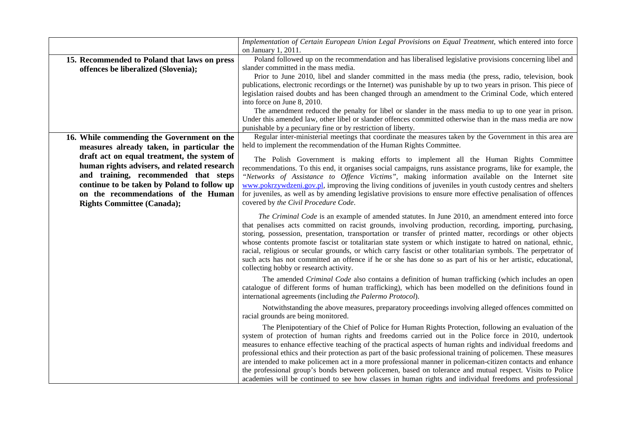|                                                                                     | Implementation of Certain European Union Legal Provisions on Equal Treatment, which entered into force                                                                                                                                                                                                                                                                                                                                                                                                                                                                                                                                                                                                                                                                                  |
|-------------------------------------------------------------------------------------|-----------------------------------------------------------------------------------------------------------------------------------------------------------------------------------------------------------------------------------------------------------------------------------------------------------------------------------------------------------------------------------------------------------------------------------------------------------------------------------------------------------------------------------------------------------------------------------------------------------------------------------------------------------------------------------------------------------------------------------------------------------------------------------------|
|                                                                                     | on January 1, 2011.<br>Poland followed up on the recommendation and has liberalised legislative provisions concerning libel and                                                                                                                                                                                                                                                                                                                                                                                                                                                                                                                                                                                                                                                         |
| 15. Recommended to Poland that laws on press<br>offences be liberalized (Slovenia); | slander committed in the mass media.                                                                                                                                                                                                                                                                                                                                                                                                                                                                                                                                                                                                                                                                                                                                                    |
|                                                                                     | Prior to June 2010, libel and slander committed in the mass media (the press, radio, television, book                                                                                                                                                                                                                                                                                                                                                                                                                                                                                                                                                                                                                                                                                   |
|                                                                                     | publications, electronic recordings or the Internet) was punishable by up to two years in prison. This piece of                                                                                                                                                                                                                                                                                                                                                                                                                                                                                                                                                                                                                                                                         |
|                                                                                     | legislation raised doubts and has been changed through an amendment to the Criminal Code, which entered                                                                                                                                                                                                                                                                                                                                                                                                                                                                                                                                                                                                                                                                                 |
|                                                                                     | into force on June 8, 2010.                                                                                                                                                                                                                                                                                                                                                                                                                                                                                                                                                                                                                                                                                                                                                             |
|                                                                                     | The amendment reduced the penalty for libel or slander in the mass media to up to one year in prison.                                                                                                                                                                                                                                                                                                                                                                                                                                                                                                                                                                                                                                                                                   |
|                                                                                     | Under this amended law, other libel or slander offences committed otherwise than in the mass media are now                                                                                                                                                                                                                                                                                                                                                                                                                                                                                                                                                                                                                                                                              |
|                                                                                     | punishable by a pecuniary fine or by restriction of liberty.                                                                                                                                                                                                                                                                                                                                                                                                                                                                                                                                                                                                                                                                                                                            |
| 16. While commending the Government on the                                          | Regular inter-ministerial meetings that coordinate the measures taken by the Government in this area are                                                                                                                                                                                                                                                                                                                                                                                                                                                                                                                                                                                                                                                                                |
| measures already taken, in particular the                                           | held to implement the recommendation of the Human Rights Committee.                                                                                                                                                                                                                                                                                                                                                                                                                                                                                                                                                                                                                                                                                                                     |
| draft act on equal treatment, the system of                                         | The Polish Government is making efforts to implement all the Human Rights Committee                                                                                                                                                                                                                                                                                                                                                                                                                                                                                                                                                                                                                                                                                                     |
| human rights advisers, and related research                                         | recommendations. To this end, it organises social campaigns, runs assistance programs, like for example, the                                                                                                                                                                                                                                                                                                                                                                                                                                                                                                                                                                                                                                                                            |
| and training, recommended that steps                                                | "Networks of Assistance to Offence Victims", making information available on the Internet site                                                                                                                                                                                                                                                                                                                                                                                                                                                                                                                                                                                                                                                                                          |
| continue to be taken by Poland to follow up                                         | www.pokrzywdzeni.gov.pl, improving the living conditions of juveniles in youth custody centres and shelters                                                                                                                                                                                                                                                                                                                                                                                                                                                                                                                                                                                                                                                                             |
| on the recommendations of the Human                                                 | for juveniles, as well as by amending legislative provisions to ensure more effective penalisation of offences                                                                                                                                                                                                                                                                                                                                                                                                                                                                                                                                                                                                                                                                          |
| <b>Rights Committee (Canada);</b>                                                   | covered by the Civil Procedure Code.                                                                                                                                                                                                                                                                                                                                                                                                                                                                                                                                                                                                                                                                                                                                                    |
|                                                                                     | The Criminal Code is an example of amended statutes. In June 2010, an amendment entered into force<br>that penalises acts committed on racist grounds, involving production, recording, importing, purchasing,<br>storing, possession, presentation, transportation or transfer of printed matter, recordings or other objects<br>whose contents promote fascist or totalitarian state system or which instigate to hatred on national, ethnic,<br>racial, religious or secular grounds, or which carry fascist or other totalitarian symbols. The perpetrator of<br>such acts has not committed an offence if he or she has done so as part of his or her artistic, educational,<br>collecting hobby or research activity.                                                             |
|                                                                                     | The amended Criminal Code also contains a definition of human trafficking (which includes an open<br>catalogue of different forms of human trafficking), which has been modelled on the definitions found in<br>international agreements (including the Palermo Protocol).                                                                                                                                                                                                                                                                                                                                                                                                                                                                                                              |
|                                                                                     | Notwithstanding the above measures, preparatory proceedings involving alleged offences committed on<br>racial grounds are being monitored.                                                                                                                                                                                                                                                                                                                                                                                                                                                                                                                                                                                                                                              |
|                                                                                     | The Plenipotentiary of the Chief of Police for Human Rights Protection, following an evaluation of the<br>system of protection of human rights and freedoms carried out in the Police force in 2010, undertook<br>measures to enhance effective teaching of the practical aspects of human rights and individual freedoms and<br>professional ethics and their protection as part of the basic professional training of policemen. These measures<br>are intended to make policemen act in a more professional manner in policeman-citizen contacts and enhance<br>the professional group's bonds between policemen, based on tolerance and mutual respect. Visits to Police<br>academies will be continued to see how classes in human rights and individual freedoms and professional |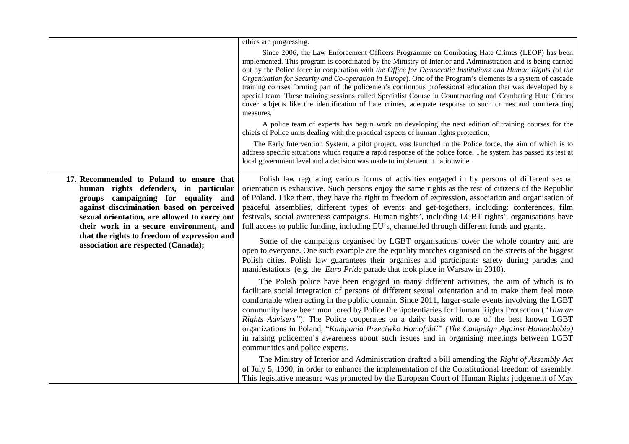|                                                                                                                                                                                                                                                                                                                                                         | ethics are progressing.                                                                                                                                                                                                                                                                                                                                                                                                                                                                                                                                                                                                                                                                                                                                                                                                                                                                                                                                                                                                                                                                                                                                                                                                                                                                                                                                                                                                                                                                                                                                                                                                                                                                                                                                                                                                                                                                                                                                                                                                                                   |
|---------------------------------------------------------------------------------------------------------------------------------------------------------------------------------------------------------------------------------------------------------------------------------------------------------------------------------------------------------|-----------------------------------------------------------------------------------------------------------------------------------------------------------------------------------------------------------------------------------------------------------------------------------------------------------------------------------------------------------------------------------------------------------------------------------------------------------------------------------------------------------------------------------------------------------------------------------------------------------------------------------------------------------------------------------------------------------------------------------------------------------------------------------------------------------------------------------------------------------------------------------------------------------------------------------------------------------------------------------------------------------------------------------------------------------------------------------------------------------------------------------------------------------------------------------------------------------------------------------------------------------------------------------------------------------------------------------------------------------------------------------------------------------------------------------------------------------------------------------------------------------------------------------------------------------------------------------------------------------------------------------------------------------------------------------------------------------------------------------------------------------------------------------------------------------------------------------------------------------------------------------------------------------------------------------------------------------------------------------------------------------------------------------------------------------|
|                                                                                                                                                                                                                                                                                                                                                         | Since 2006, the Law Enforcement Officers Programme on Combating Hate Crimes (LEOP) has been<br>implemented. This program is coordinated by the Ministry of Interior and Administration and is being carried<br>out by the Police force in cooperation with the Office for Democratic Institutions and Human Rights (of the<br>Organisation for Security and Co-operation in Europe). One of the Program's elements is a system of cascade<br>training courses forming part of the policemen's continuous professional education that was developed by a<br>special team. These training sessions called Specialist Course in Counteracting and Combating Hate Crimes<br>cover subjects like the identification of hate crimes, adequate response to such crimes and counteracting<br>measures.                                                                                                                                                                                                                                                                                                                                                                                                                                                                                                                                                                                                                                                                                                                                                                                                                                                                                                                                                                                                                                                                                                                                                                                                                                                            |
|                                                                                                                                                                                                                                                                                                                                                         | A police team of experts has begun work on developing the next edition of training courses for the<br>chiefs of Police units dealing with the practical aspects of human rights protection.                                                                                                                                                                                                                                                                                                                                                                                                                                                                                                                                                                                                                                                                                                                                                                                                                                                                                                                                                                                                                                                                                                                                                                                                                                                                                                                                                                                                                                                                                                                                                                                                                                                                                                                                                                                                                                                               |
|                                                                                                                                                                                                                                                                                                                                                         | The Early Intervention System, a pilot project, was launched in the Police force, the aim of which is to<br>address specific situations which require a rapid response of the police force. The system has passed its test at<br>local government level and a decision was made to implement it nationwide.                                                                                                                                                                                                                                                                                                                                                                                                                                                                                                                                                                                                                                                                                                                                                                                                                                                                                                                                                                                                                                                                                                                                                                                                                                                                                                                                                                                                                                                                                                                                                                                                                                                                                                                                               |
| 17. Recommended to Poland to ensure that<br>human rights defenders, in particular<br>groups campaigning for equality and<br>against discrimination based on perceived<br>sexual orientation, are allowed to carry out<br>their work in a secure environment, and<br>that the rights to freedom of expression and<br>association are respected (Canada); | Polish law regulating various forms of activities engaged in by persons of different sexual<br>orientation is exhaustive. Such persons enjoy the same rights as the rest of citizens of the Republic<br>of Poland. Like them, they have the right to freedom of expression, association and organisation of<br>peaceful assemblies, different types of events and get-togethers, including: conferences, film<br>festivals, social awareness campaigns. Human rights', including LGBT rights', organisations have<br>full access to public funding, including EU's, channelled through different funds and grants.<br>Some of the campaigns organised by LGBT organisations cover the whole country and are<br>open to everyone. One such example are the equality marches organised on the streets of the biggest<br>Polish cities. Polish law guarantees their organises and participants safety during parades and<br>manifestations (e.g. the <i>Euro Pride</i> parade that took place in Warsaw in 2010).<br>The Polish police have been engaged in many different activities, the aim of which is to<br>facilitate social integration of persons of different sexual orientation and to make them feel more<br>comfortable when acting in the public domain. Since 2011, larger-scale events involving the LGBT<br>community have been monitored by Police Plenipotentiaries for Human Rights Protection ("Human"<br>Rights Advisers"). The Police cooperates on a daily basis with one of the best known LGBT<br>organizations in Poland, "Kampania Przeciwko Homofobii" (The Campaign Against Homophobia)<br>in raising policemen's awareness about such issues and in organising meetings between LGBT<br>communities and police experts.<br>The Ministry of Interior and Administration drafted a bill amending the Right of Assembly Act<br>of July 5, 1990, in order to enhance the implementation of the Constitutional freedom of assembly.<br>This legislative measure was promoted by the European Court of Human Rights judgement of May |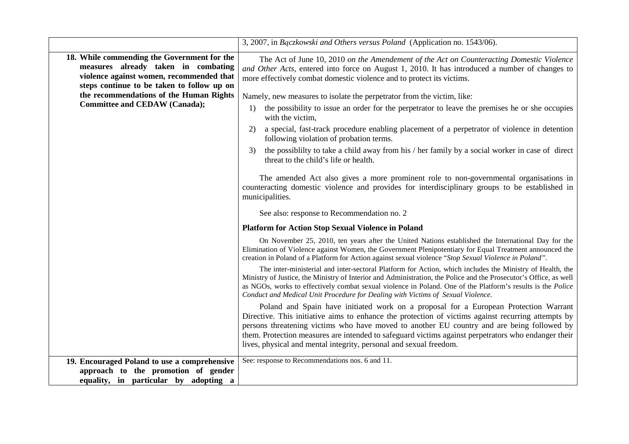|                                                                                                                                                                                                                         | 3, 2007, in Bączkowski and Others versus Poland (Application no. 1543/06).                                                                                                                                                                                                                                                                                                                                                                                                                                                                                                                                                                                                                                                                                                                                                                                                                                                                                                                                                                                                                                                                                                                                                                                                                                                                                                                                                                                                                                                                                                                                                                                                                                                                                                                                                                                                                                           |
|-------------------------------------------------------------------------------------------------------------------------------------------------------------------------------------------------------------------------|----------------------------------------------------------------------------------------------------------------------------------------------------------------------------------------------------------------------------------------------------------------------------------------------------------------------------------------------------------------------------------------------------------------------------------------------------------------------------------------------------------------------------------------------------------------------------------------------------------------------------------------------------------------------------------------------------------------------------------------------------------------------------------------------------------------------------------------------------------------------------------------------------------------------------------------------------------------------------------------------------------------------------------------------------------------------------------------------------------------------------------------------------------------------------------------------------------------------------------------------------------------------------------------------------------------------------------------------------------------------------------------------------------------------------------------------------------------------------------------------------------------------------------------------------------------------------------------------------------------------------------------------------------------------------------------------------------------------------------------------------------------------------------------------------------------------------------------------------------------------------------------------------------------------|
| 18. While commending the Government for the<br>measures already taken in combating<br>violence against women, recommended that<br>steps continue to be taken to follow up on<br>the recommendations of the Human Rights | The Act of June 10, 2010 on the Amendement of the Act on Counteracting Domestic Violence<br>and Other Acts, entered into force on August 1, 2010. It has introduced a number of changes to<br>more effectively combat domestic violence and to protect its victims.<br>Namely, new measures to isolate the perpetrator from the victim, like:                                                                                                                                                                                                                                                                                                                                                                                                                                                                                                                                                                                                                                                                                                                                                                                                                                                                                                                                                                                                                                                                                                                                                                                                                                                                                                                                                                                                                                                                                                                                                                        |
| <b>Committee and CEDAW (Canada);</b>                                                                                                                                                                                    | the possibility to issue an order for the perpetrator to leave the premises he or she occupies<br>1)<br>with the victim,<br>a special, fast-track procedure enabling placement of a perpetrator of violence in detention<br>2)<br>following violation of probation terms.<br>the possibility to take a child away from his / her family by a social worker in case of direct<br>3)<br>threat to the child's life or health.<br>The amended Act also gives a more prominent role to non-governmental organisations in<br>counteracting domestic violence and provides for interdisciplinary groups to be established in<br>municipalities.<br>See also: response to Recommendation no. 2<br><b>Platform for Action Stop Sexual Violence in Poland</b><br>On November 25, 2010, ten years after the United Nations established the International Day for the<br>Elimination of Violence against Women, the Government Plenipotentiary for Equal Treatment announced the<br>creation in Poland of a Platform for Action against sexual violence "Stop Sexual Violence in Poland".<br>The inter-ministerial and inter-sectoral Platform for Action, which includes the Ministry of Health, the<br>Ministry of Justice, the Ministry of Interior and Administration, the Police and the Prosecutor's Office, as well<br>as NGOs, works to effectively combat sexual violence in Poland. One of the Platform's results is the Police<br>Conduct and Medical Unit Procedure for Dealing with Victims of Sexual Violence.<br>Poland and Spain have initiated work on a proposal for a European Protection Warrant<br>Directive. This initiative aims to enhance the protection of victims against recurring attempts by<br>persons threatening victims who have moved to another EU country and are being followed by<br>them. Protection measures are intended to safeguard victims against perpetrators who endanger their |
| 19. Encouraged Poland to use a comprehensive<br>approach to the promotion of gender<br>equality, in particular by adopting a                                                                                            | lives, physical and mental integrity, personal and sexual freedom.<br>See: response to Recommendations nos. 6 and 11.                                                                                                                                                                                                                                                                                                                                                                                                                                                                                                                                                                                                                                                                                                                                                                                                                                                                                                                                                                                                                                                                                                                                                                                                                                                                                                                                                                                                                                                                                                                                                                                                                                                                                                                                                                                                |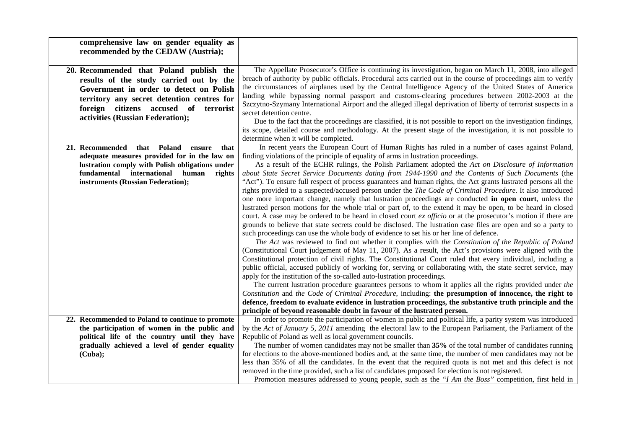| comprehensive law on gender equality as                                                                                                                                                                                                                  |                                                                                                                                                                                                                                                                                                                                                                                                                                                                                                                                                                                                                                                                                                                                                                                                                                                                                                                                                                                                                                                                                                                                                                                                                                                                                                                                                                                                                                                                                                                                   |
|----------------------------------------------------------------------------------------------------------------------------------------------------------------------------------------------------------------------------------------------------------|-----------------------------------------------------------------------------------------------------------------------------------------------------------------------------------------------------------------------------------------------------------------------------------------------------------------------------------------------------------------------------------------------------------------------------------------------------------------------------------------------------------------------------------------------------------------------------------------------------------------------------------------------------------------------------------------------------------------------------------------------------------------------------------------------------------------------------------------------------------------------------------------------------------------------------------------------------------------------------------------------------------------------------------------------------------------------------------------------------------------------------------------------------------------------------------------------------------------------------------------------------------------------------------------------------------------------------------------------------------------------------------------------------------------------------------------------------------------------------------------------------------------------------------|
| recommended by the CEDAW (Austria);                                                                                                                                                                                                                      |                                                                                                                                                                                                                                                                                                                                                                                                                                                                                                                                                                                                                                                                                                                                                                                                                                                                                                                                                                                                                                                                                                                                                                                                                                                                                                                                                                                                                                                                                                                                   |
| 20. Recommended that Poland publish the<br>results of the study carried out by the<br>Government in order to detect on Polish<br>territory any secret detention centres for<br>foreign citizens accused of terrorist<br>activities (Russian Federation); | The Appellate Prosecutor's Office is continuing its investigation, began on March 11, 2008, into alleged<br>breach of authority by public officials. Procedural acts carried out in the course of proceedings aim to verify<br>the circumstances of airplanes used by the Central Intelligence Agency of the United States of America<br>landing while bypassing normal passport and customs-clearing procedures between 2002-2003 at the<br>Szczytno-Szymany International Airport and the alleged illegal deprivation of liberty of terrorist suspects in a<br>secret detention centre.<br>Due to the fact that the proceedings are classified, it is not possible to report on the investigation findings,<br>its scope, detailed course and methodology. At the present stage of the investigation, it is not possible to<br>determine when it will be completed.                                                                                                                                                                                                                                                                                                                                                                                                                                                                                                                                                                                                                                                             |
| 21. Recommended<br>that Poland<br>that<br>ensure<br>adequate measures provided for in the law on<br>lustration comply with Polish obligations under<br>fundamental international human<br>rights<br>instruments (Russian Federation);                    | In recent years the European Court of Human Rights has ruled in a number of cases against Poland,<br>finding violations of the principle of equality of arms in lustration proceedings.<br>As a result of the ECHR rulings, the Polish Parliament adopted the Act on Disclosure of Information<br>about State Secret Service Documents dating from 1944-1990 and the Contents of Such Documents (the<br>"Act"). To ensure full respect of process guarantees and human rights, the Act grants lustrated persons all the<br>rights provided to a suspected/accused person under the The Code of Criminal Procedure. It also introduced<br>one more important change, namely that lustration proceedings are conducted in open court, unless the<br>lustrated person motions for the whole trial or part of, to the extend it may be open, to be heard in closed<br>court. A case may be ordered to be heard in closed court ex officio or at the prosecutor's motion if there are<br>grounds to believe that state secrets could be disclosed. The lustration case files are open and so a party to<br>such proceedings can use the whole body of evidence to set his or her line of defence.<br>The Act was reviewed to find out whether it complies with the Constitution of the Republic of Poland<br>(Constitutional Court judgement of May 11, 2007). As a result, the Act's provisions were aligned with the<br>Constitutional protection of civil rights. The Constitutional Court ruled that every individual, including a |
| 22. Recommended to Poland to continue to promote                                                                                                                                                                                                         | public official, accused publicly of working for, serving or collaborating with, the state secret service, may<br>apply for the institution of the so-called auto-lustration proceedings.<br>The current lustration procedure guarantees persons to whom it applies all the rights provided under the<br>Constitution and the Code of Criminal Procedure, including: the presumption of innocence, the right to<br>defence, freedom to evaluate evidence in lustration proceedings, the substantive truth principle and the<br>principle of beyond reasonable doubt in favour of the lustrated person.<br>In order to promote the participation of women in public and political life, a parity system was introduced                                                                                                                                                                                                                                                                                                                                                                                                                                                                                                                                                                                                                                                                                                                                                                                                             |
| the participation of women in the public and                                                                                                                                                                                                             | by the Act of January 5, 2011 amending the electoral law to the European Parliament, the Parliament of the                                                                                                                                                                                                                                                                                                                                                                                                                                                                                                                                                                                                                                                                                                                                                                                                                                                                                                                                                                                                                                                                                                                                                                                                                                                                                                                                                                                                                        |
| political life of the country until they have                                                                                                                                                                                                            | Republic of Poland as well as local government councils.                                                                                                                                                                                                                                                                                                                                                                                                                                                                                                                                                                                                                                                                                                                                                                                                                                                                                                                                                                                                                                                                                                                                                                                                                                                                                                                                                                                                                                                                          |
| gradually achieved a level of gender equality                                                                                                                                                                                                            | The number of women candidates may not be smaller than 35% of the total number of candidates running                                                                                                                                                                                                                                                                                                                                                                                                                                                                                                                                                                                                                                                                                                                                                                                                                                                                                                                                                                                                                                                                                                                                                                                                                                                                                                                                                                                                                              |
| (Cuba);                                                                                                                                                                                                                                                  | for elections to the above-mentioned bodies and, at the same time, the number of men candidates may not be                                                                                                                                                                                                                                                                                                                                                                                                                                                                                                                                                                                                                                                                                                                                                                                                                                                                                                                                                                                                                                                                                                                                                                                                                                                                                                                                                                                                                        |
|                                                                                                                                                                                                                                                          | less than 35% of all the candidates. In the event that the required quota is not met and this defect is not                                                                                                                                                                                                                                                                                                                                                                                                                                                                                                                                                                                                                                                                                                                                                                                                                                                                                                                                                                                                                                                                                                                                                                                                                                                                                                                                                                                                                       |
|                                                                                                                                                                                                                                                          | removed in the time provided, such a list of candidates proposed for election is not registered.<br>Promotion measures addressed to young people, such as the "I Am the Boss" competition, first held in                                                                                                                                                                                                                                                                                                                                                                                                                                                                                                                                                                                                                                                                                                                                                                                                                                                                                                                                                                                                                                                                                                                                                                                                                                                                                                                          |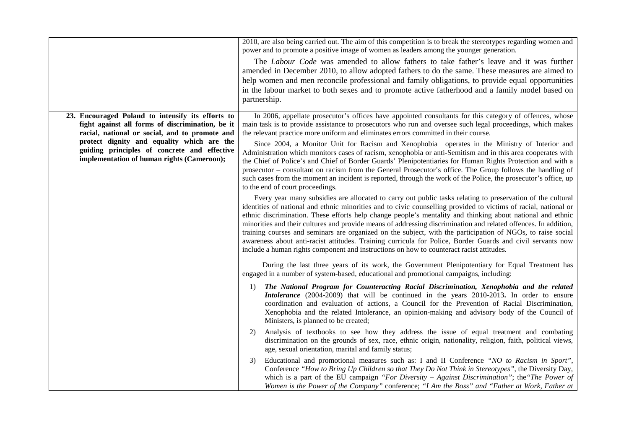|                                                                                                                                                                                                                                                                                                     | 2010, are also being carried out. The aim of this competition is to break the stereotypes regarding women and<br>power and to promote a positive image of women as leaders among the younger generation.<br>The <i>Labour Code</i> was amended to allow fathers to take father's leave and it was further<br>amended in December 2010, to allow adopted fathers to do the same. These measures are aimed to<br>help women and men reconcile professional and family obligations, to provide equal opportunities<br>in the labour market to both sexes and to promote active fatherhood and a family model based on<br>partnership.                                                                                                                                                                                                                                                                            |
|-----------------------------------------------------------------------------------------------------------------------------------------------------------------------------------------------------------------------------------------------------------------------------------------------------|---------------------------------------------------------------------------------------------------------------------------------------------------------------------------------------------------------------------------------------------------------------------------------------------------------------------------------------------------------------------------------------------------------------------------------------------------------------------------------------------------------------------------------------------------------------------------------------------------------------------------------------------------------------------------------------------------------------------------------------------------------------------------------------------------------------------------------------------------------------------------------------------------------------|
| 23. Encouraged Poland to intensify its efforts to<br>fight against all forms of discrimination, be it<br>racial, national or social, and to promote and<br>protect dignity and equality which are the<br>guiding principles of concrete and effective<br>implementation of human rights (Cameroon); | In 2006, appellate prosecutor's offices have appointed consultants for this category of offences, whose<br>main task is to provide assistance to prosecutors who run and oversee such legal proceedings, which makes<br>the relevant practice more uniform and eliminates errors committed in their course.<br>Since 2004, a Monitor Unit for Racism and Xenophobia operates in the Ministry of Interior and<br>Administration which monitors cases of racism, xenophobia or anti-Semitism and in this area cooperates with<br>the Chief of Police's and Chief of Border Guards' Plenipotentiaries for Human Rights Protection and with a<br>prosecutor – consultant on racism from the General Prosecutor's office. The Group follows the handling of<br>such cases from the moment an incident is reported, through the work of the Police, the prosecutor's office, up<br>to the end of court proceedings. |
|                                                                                                                                                                                                                                                                                                     | Every year many subsidies are allocated to carry out public tasks relating to preservation of the cultural<br>identities of national and ethnic minorities and to civic counselling provided to victims of racial, national or<br>ethnic discrimination. These efforts help change people's mentality and thinking about national and ethnic<br>minorities and their cultures and provide means of addressing discrimination and related offences. In addition,<br>training courses and seminars are organized on the subject, with the participation of NGOs, to raise social<br>awareness about anti-racist attitudes. Training curricula for Police, Border Guards and civil servants now<br>include a human rights component and instructions on how to counteract racist attitudes.                                                                                                                      |
|                                                                                                                                                                                                                                                                                                     | During the last three years of its work, the Government Plenipotentiary for Equal Treatment has<br>engaged in a number of system-based, educational and promotional campaigns, including:<br>The National Program for Counteracting Racial Discrimination, Xenophobia and the related<br>1)<br>Intolerance (2004-2009) that will be continued in the years 2010-2013. In order to ensure<br>coordination and evaluation of actions, a Council for the Prevention of Racial Discrimination,<br>Xenophobia and the related Intolerance, an opinion-making and advisory body of the Council of<br>Ministers, is planned to be created;                                                                                                                                                                                                                                                                           |
|                                                                                                                                                                                                                                                                                                     | Analysis of textbooks to see how they address the issue of equal treatment and combating<br>2)<br>discrimination on the grounds of sex, race, ethnic origin, nationality, religion, faith, political views,<br>age, sexual orientation, marital and family status;<br>Educational and promotional measures such as: I and II Conference "NO to Racism in Sport",<br>3)<br>Conference "How to Bring Up Children so that They Do Not Think in Stereotypes", the Diversity Day,<br>which is a part of the EU campaign "For Diversity $-$ Against Discrimination"; the "The Power of<br>Women is the Power of the Company" conference; "I Am the Boss" and "Father at Work, Father at                                                                                                                                                                                                                             |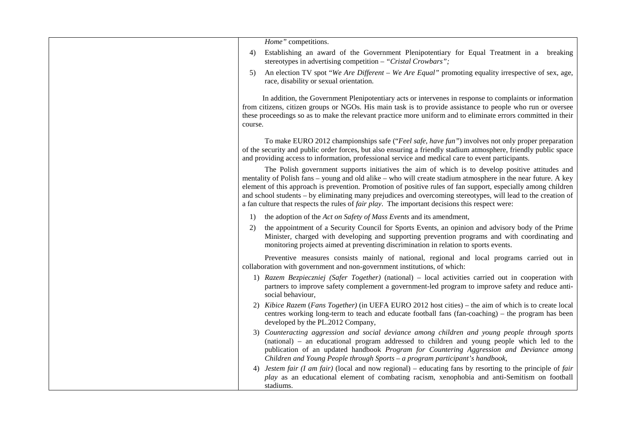| Home" competitions.                                                                                                                                                                                                                                                                                                                                                                                                                                                                                                                                           |
|---------------------------------------------------------------------------------------------------------------------------------------------------------------------------------------------------------------------------------------------------------------------------------------------------------------------------------------------------------------------------------------------------------------------------------------------------------------------------------------------------------------------------------------------------------------|
| Establishing an award of the Government Plenipotentiary for Equal Treatment in a breaking<br>4)<br>stereotypes in advertising competition - "Cristal Crowbars";                                                                                                                                                                                                                                                                                                                                                                                               |
| An election TV spot "We Are Different – We Are Equal" promoting equality irrespective of sex, age,<br>5)<br>race, disability or sexual orientation.                                                                                                                                                                                                                                                                                                                                                                                                           |
| In addition, the Government Plenipotentiary acts or intervenes in response to complaints or information<br>from citizens, citizen groups or NGOs. His main task is to provide assistance to people who run or oversee<br>these proceedings so as to make the relevant practice more uniform and to eliminate errors committed in their<br>course.                                                                                                                                                                                                             |
| To make EURO 2012 championships safe ("Feel safe, have fun") involves not only proper preparation<br>of the security and public order forces, but also ensuring a friendly stadium atmosphere, friendly public space<br>and providing access to information, professional service and medical care to event participants.                                                                                                                                                                                                                                     |
| The Polish government supports initiatives the aim of which is to develop positive attitudes and<br>mentality of Polish fans – young and old alike – who will create stadium atmosphere in the near future. A key<br>element of this approach is prevention. Promotion of positive rules of fan support, especially among children<br>and school students – by eliminating many prejudices and overcoming stereotypes, will lead to the creation of<br>a fan culture that respects the rules of <i>fair play</i> . The important decisions this respect were: |
| the adoption of the Act on Safety of Mass Events and its amendment,<br>1)                                                                                                                                                                                                                                                                                                                                                                                                                                                                                     |
| the appointment of a Security Council for Sports Events, an opinion and advisory body of the Prime<br>2)<br>Minister, charged with developing and supporting prevention programs and with coordinating and<br>monitoring projects aimed at preventing discrimination in relation to sports events.                                                                                                                                                                                                                                                            |
| Preventive measures consists mainly of national, regional and local programs carried out in<br>collaboration with government and non-government institutions, of which:                                                                                                                                                                                                                                                                                                                                                                                       |
| 1) Razem Bezpieczniej (Safer Together) (national) – local activities carried out in cooperation with<br>partners to improve safety complement a government-led program to improve safety and reduce anti-<br>social behaviour,                                                                                                                                                                                                                                                                                                                                |
| 2) Kibice Razem (Fans Together) (in UEFA EURO 2012 host cities) – the aim of which is to create local<br>centres working long-term to teach and educate football fans (fan-coaching) – the program has been<br>developed by the PL.2012 Company,                                                                                                                                                                                                                                                                                                              |
| 3) Counteracting aggression and social deviance among children and young people through sports<br>(national) – an educational program addressed to children and young people which led to the<br>publication of an updated handbook Program for Countering Aggression and Deviance among<br>Children and Young People through Sports - a program participant's handbook,                                                                                                                                                                                      |
| 4) <i>Jestem fair (I am fair)</i> (local and now regional) – educating fans by resorting to the principle of <i>fair</i><br>play as an educational element of combating racism, xenophobia and anti-Semitism on football<br>stadiums.                                                                                                                                                                                                                                                                                                                         |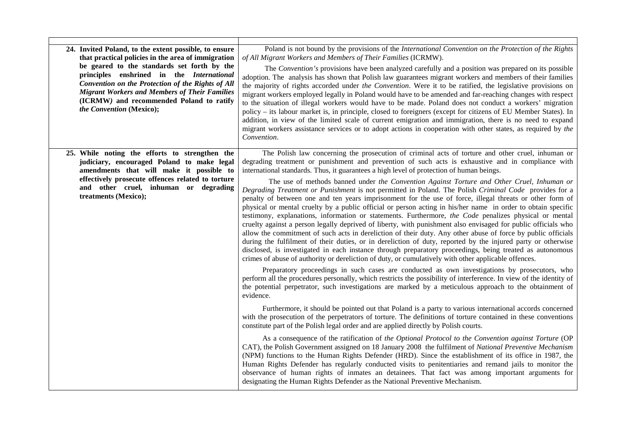| Poland is not bound by the provisions of the International Convention on the Protection of the Rights<br>of All Migrant Workers and Members of Their Families (ICRMW).<br>The Convention's provisions have been analyzed carefully and a position was prepared on its possible<br>adoption. The analysis has shown that Polish law guarantees migrant workers and members of their families<br>the majority of rights accorded under the Convention. Were it to be ratified, the legislative provisions on<br>migrant workers employed legally in Poland would have to be amended and far-reaching changes with respect<br>to the situation of illegal workers would have to be made. Poland does not conduct a workers' migration<br>policy – its labour market is, in principle, closed to foreigners (except for citizens of EU Member States). In<br>addition, in view of the limited scale of current emigration and immigration, there is no need to expand<br>migrant workers assistance services or to adopt actions in cooperation with other states, as required by the<br>Convention.                                                                                                                                                                                                                                                                                                                                                                                                                                                                                                                                                                                                                                                                                                                                                                                                                                                                                                                                                                                                                                                                                                                                                                                                            |
|-------------------------------------------------------------------------------------------------------------------------------------------------------------------------------------------------------------------------------------------------------------------------------------------------------------------------------------------------------------------------------------------------------------------------------------------------------------------------------------------------------------------------------------------------------------------------------------------------------------------------------------------------------------------------------------------------------------------------------------------------------------------------------------------------------------------------------------------------------------------------------------------------------------------------------------------------------------------------------------------------------------------------------------------------------------------------------------------------------------------------------------------------------------------------------------------------------------------------------------------------------------------------------------------------------------------------------------------------------------------------------------------------------------------------------------------------------------------------------------------------------------------------------------------------------------------------------------------------------------------------------------------------------------------------------------------------------------------------------------------------------------------------------------------------------------------------------------------------------------------------------------------------------------------------------------------------------------------------------------------------------------------------------------------------------------------------------------------------------------------------------------------------------------------------------------------------------------------------------------------------------------------------------------------------------------|
| The Polish law concerning the prosecution of criminal acts of torture and other cruel, inhuman or<br>degrading treatment or punishment and prevention of such acts is exhaustive and in compliance with<br>international standards. Thus, it guarantees a high level of protection of human beings.<br>The use of methods banned under the Convention Against Torture and Other Cruel, Inhuman or<br>Degrading Treatment or Punishment is not permitted in Poland. The Polish Criminal Code provides for a<br>penalty of between one and ten years imprisonment for the use of force, illegal threats or other form of<br>physical or mental cruelty by a public official or person acting in his/her name in order to obtain specific<br>testimony, explanations, information or statements. Furthermore, the Code penalizes physical or mental<br>cruelty against a person legally deprived of liberty, with punishment also envisaged for public officials who<br>allow the commitment of such acts in dereliction of their duty. Any other abuse of force by public officials<br>during the fulfilment of their duties, or in dereliction of duty, reported by the injured party or otherwise<br>disclosed, is investigated in each instance through preparatory proceedings, being treated as autonomous<br>crimes of abuse of authority or dereliction of duty, or cumulatively with other applicable offences.<br>Preparatory proceedings in such cases are conducted as own investigations by prosecutors, who<br>perform all the procedures personally, which restricts the possibility of interference. In view of the identity of<br>the potential perpetrator, such investigations are marked by a meticulous approach to the obtainment of<br>evidence.<br>Furthermore, it should be pointed out that Poland is a party to various international accords concerned<br>with the prosecution of the perpetrators of torture. The definitions of torture contained in these conventions<br>constitute part of the Polish legal order and are applied directly by Polish courts.<br>As a consequence of the ratification of the Optional Protocol to the Convention against Torture (OP<br>CAT), the Polish Government assigned on 18 January 2008 the fulfilment of National Preventive Mechanism |
| (NPM) functions to the Human Rights Defender (HRD). Since the establishment of its office in 1987, the<br>Human Rights Defender has regularly conducted visits to penitentiaries and remand jails to monitor the<br>observance of human rights of inmates an detainees. That fact was among important arguments for<br>designating the Human Rights Defender as the National Preventive Mechanism.                                                                                                                                                                                                                                                                                                                                                                                                                                                                                                                                                                                                                                                                                                                                                                                                                                                                                                                                                                                                                                                                                                                                                                                                                                                                                                                                                                                                                                                                                                                                                                                                                                                                                                                                                                                                                                                                                                          |
|                                                                                                                                                                                                                                                                                                                                                                                                                                                                                                                                                                                                                                                                                                                                                                                                                                                                                                                                                                                                                                                                                                                                                                                                                                                                                                                                                                                                                                                                                                                                                                                                                                                                                                                                                                                                                                                                                                                                                                                                                                                                                                                                                                                                                                                                                                             |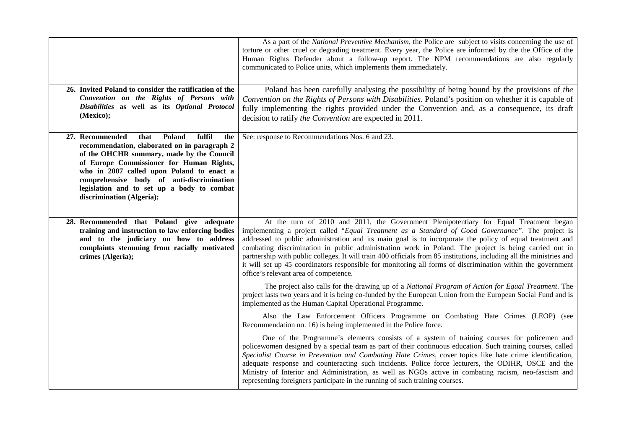|                                                                                                                                                                                                                                                                                                                                                                  | As a part of the <i>National Preventive Mechanism</i> , the Police are subject to visits concerning the use of<br>torture or other cruel or degrading treatment. Every year, the Police are informed by the the Office of the<br>Human Rights Defender about a follow-up report. The NPM recommendations are also regularly<br>communicated to Police units, which implements them immediately.                                                                                                                                                                                                                                                                                                 |
|------------------------------------------------------------------------------------------------------------------------------------------------------------------------------------------------------------------------------------------------------------------------------------------------------------------------------------------------------------------|-------------------------------------------------------------------------------------------------------------------------------------------------------------------------------------------------------------------------------------------------------------------------------------------------------------------------------------------------------------------------------------------------------------------------------------------------------------------------------------------------------------------------------------------------------------------------------------------------------------------------------------------------------------------------------------------------|
| 26. Invited Poland to consider the ratification of the<br>Convention on the Rights of Persons with<br>Disabilities as well as its Optional Protocol<br>(Mexico);                                                                                                                                                                                                 | Poland has been carefully analysing the possibility of being bound by the provisions of the<br>Convention on the Rights of Persons with Disabilities. Poland's position on whether it is capable of<br>fully implementing the rights provided under the Convention and, as a consequence, its draft<br>decision to ratify the Convention are expected in 2011.                                                                                                                                                                                                                                                                                                                                  |
| 27. Recommended<br>that<br>Poland<br>fulfil<br>the<br>recommendation, elaborated on in paragraph 2<br>of the OHCHR summary, made by the Council<br>of Europe Commissioner for Human Rights,<br>who in 2007 called upon Poland to enact a<br>comprehensive body of anti-discrimination<br>legislation and to set up a body to combat<br>discrimination (Algeria); | See: response to Recommendations Nos. 6 and 23.                                                                                                                                                                                                                                                                                                                                                                                                                                                                                                                                                                                                                                                 |
| 28. Recommended that Poland give adequate<br>training and instruction to law enforcing bodies<br>and to the judiciary on how to address<br>complaints stemming from racially motivated<br>crimes (Algeria);                                                                                                                                                      | At the turn of 2010 and 2011, the Government Plenipotentiary for Equal Treatment began<br>implementing a project called "Equal Treatment as a Standard of Good Governance". The project is<br>addressed to public administration and its main goal is to incorporate the policy of equal treatment and<br>combating discrimination in public administration work in Poland. The project is being carried out in<br>partnership with public colleges. It will train 400 officials from 85 institutions, including all the ministries and<br>it will set up 45 coordinators responsible for monitoring all forms of discrimination within the government<br>office's relevant area of competence. |
|                                                                                                                                                                                                                                                                                                                                                                  | The project also calls for the drawing up of a National Program of Action for Equal Treatment. The<br>project lasts two years and it is being co-funded by the European Union from the European Social Fund and is<br>implemented as the Human Capital Operational Programme.                                                                                                                                                                                                                                                                                                                                                                                                                   |
|                                                                                                                                                                                                                                                                                                                                                                  | Also the Law Enforcement Officers Programme on Combating Hate Crimes (LEOP) (see<br>Recommendation no. 16) is being implemented in the Police force.                                                                                                                                                                                                                                                                                                                                                                                                                                                                                                                                            |
|                                                                                                                                                                                                                                                                                                                                                                  | One of the Programme's elements consists of a system of training courses for policemen and<br>policewomen designed by a special team as part of their continuous education. Such training courses, called<br>Specialist Course in Prevention and Combating Hate Crimes, cover topics like hate crime identification,<br>adequate response and counteracting such incidents. Police force lecturers, the ODIHR, OSCE and the<br>Ministry of Interior and Administration, as well as NGOs active in combating racism, neo-fascism and<br>representing foreigners participate in the running of such training courses.                                                                             |